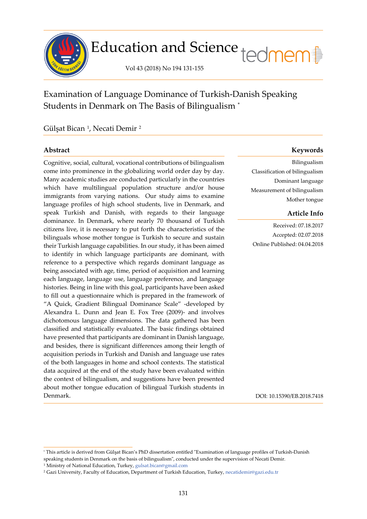

# Education and Science tedmem

Vol 43 (2018) No 194 131-155

Examination of Language Dominance of Turkish-Danish Speaking Students in Denmark on The Basis of Bilingualism [\\*](#page-0-0)

Gülşat Bican [1](#page-0-1) , Necati Demir [2](#page-0-2)

í

Cognitive, social, cultural, vocational contributions of bilingualism come into prominence in the globalizing world order day by day. Many academic studies are conducted particularly in the countries which have multilingual population structure and/or house immigrants from varying nations. Our study aims to examine language profiles of high school students, live in Denmark, and speak Turkish and Danish, with regards to their language dominance. In Denmark, where nearly 70 thousand of Turkish citizens live, it is necessary to put forth the characteristics of the bilinguals whose mother tongue is Turkish to secure and sustain their Turkish language capabilities. In our study, it has been aimed to identify in which language participants are dominant, with reference to a perspective which regards dominant language as being associated with age, time, period of acquisition and learning each language, language use, language preference, and language histories. Being in line with this goal, participants have been asked to fill out a questionnaire which is prepared in the framework of "A Quick, Gradient Bilingual Dominance Scale" -developed by Alexandra L. Dunn and Jean E. Fox Tree (2009)- and involves dichotomous language dimensions. The data gathered has been classified and statistically evaluated. The basic findings obtained have presented that participants are dominant in Danish language, and besides, there is significant differences among their length of acquisition periods in Turkish and Danish and language use rates of the both languages in home and school contexts. The statistical data acquired at the end of the study have been evaluated within the context of bilingualism, and suggestions have been presented about mother tongue education of bilingual Turkish students in Denmark.

# **Abstract Keywords**

Bilingualism Classification of bilingualism Dominant language Measurement of bilingualism Mother tongue

# **Article Info**

Received: 07.18.2017 Accepted: 02.07.2018 Online Published: 04.04.2018

DOI: 10.15390/EB.2018.7418

<span id="page-0-0"></span><sup>\*</sup> This article is derived from Gülşat Bican's PhD dissertation entitled "Examination of language profiles of Turkish-Danish speaking students in Denmark on the basis of bilingualism", conducted under the supervision of Necati Demir.

<span id="page-0-1"></span><sup>1</sup> Ministry of National Education, Turkey, [gulsat.bican@gmail.com](mailto:gulsat.bican@gmail.com)

<span id="page-0-2"></span><sup>2</sup> Gazi University, Faculty of Education, Department of Turkish Education, Turkey, [necatidemir@gazi.edu.tr](mailto:necatidemir@gazi.edu.tr)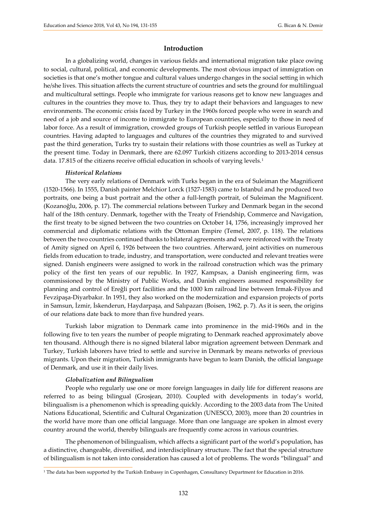### **Introduction**

In a globalizing world, changes in various fields and international migration take place owing to social, cultural, political, and economic developments. The most obvious impact of immigration on societies is that one's mother tongue and cultural values undergo changes in the social setting in which he/she lives. This situation affects the current structure of countries and sets the ground for multilingual and multicultural settings. People who immigrate for various reasons get to know new languages and cultures in the countries they move to. Thus, they try to adapt their behaviors and languages to new environments. The economic crisis faced by Turkey in the 1960s forced people who were in search and need of a job and source of income to immigrate to European countries, especially to those in need of labor force. As a result of immigration, crowded groups of Turkish people settled in various European countries. Having adapted to languages and cultures of the countries they migrated to and survived past the third generation, Turks try to sustain their relations with those countries as well as Turkey at the present time. Today in Denmark, there are 62.097 Turkish citizens according to 2013-2014 census data. [1](#page-1-0)7.815 of the citizens receive official education in schools of varying levels.<sup>1</sup>

#### *Historical Relations*

The very early relations of Denmark with Turks began in the era of Suleiman the Magnificent (1520-1566). In 1555, Danish painter Melchior Lorck (1527-1583) came to Istanbul and he produced two portraits, one being a bust portrait and the other a full-length portrait, of Suleiman the Magnificent. (Kozanoğlu, 2006, p. 17). The commercial relations between Turkey and Denmark began in the second half of the 18th century. Denmark, together with the Treaty of Friendship, Commerce and Navigation, the first treaty to be signed between the two countries on October 14, 1756, increasingly improved her commercial and diplomatic relations with the Ottoman Empire (Temel, 2007, p. 118). The relations between the two countries continued thanks to bilateral agreements and were reinforced with the Treaty of Amity signed on April 6, 1926 between the two countries. Afterward, joint activities on numerous fields from education to trade, industry, and transportation, were conducted and relevant treaties were signed. Danish engineers were assigned to work in the railroad construction which was the primary policy of the first ten years of our republic. In 1927, Kampsax, a Danish engineering firm, was commissioned by the Ministry of Public Works, and Danish engineers assumed responsibility for planning and control of Ereğli port facilities and the 1000 km railroad line between Irmak-Filyos and Fevzipaşa-Diyarbakır. In 1951, they also worked on the modernization and expansion projects of ports in Samsun, İzmir, İskenderun, Haydarpaşa, and Salıpazarı (Boisen, 1962, p. 7). As it is seen, the origins of our relations date back to more than five hundred years.

Turkish labor migration to Denmark came into prominence in the mid-1960s and in the following five to ten years the number of people migrating to Denmark reached approximately above ten thousand. Although there is no signed bilateral labor migration agreement between Denmark and Turkey, Turkish laborers have tried to settle and survive in Denmark by means networks of previous migrants. Upon their migration, Turkish immigrants have begun to learn Danish, the official language of Denmark, and use it in their daily lives.

#### *Globalization and Bilingualism*

í

People who regularly use one or more foreign languages in daily life for different reasons are referred to as being bilingual (Grosjean, 2010). Coupled with developments in today's world, bilingualism is a phenomenon which is spreading quickly. According to the 2003 data from The United Nations Educational, Scientific and Cultural Organization (UNESCO, 2003), more than 20 countries in the world have more than one official language. More than one language are spoken in almost every country around the world, thereby bilinguals are frequently come across in various countries.

The phenomenon of bilingualism, which affects a significant part of the world's population, has a distinctive, changeable, diversified, and interdisciplinary structure. The fact that the special structure of bilingualism is not taken into consideration has caused a lot of problems. The words "bilingual" and

<span id="page-1-0"></span><sup>1</sup> The data has been supported by the Turkish Embassy in Copenhagen, Consultancy Department for Education in 2016.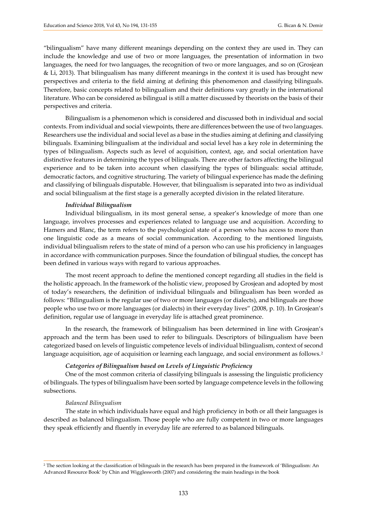"bilingualism" have many different meanings depending on the context they are used in. They can include the knowledge and use of two or more languages, the presentation of information in two languages, the need for two languages, the recognition of two or more languages, and so on (Grosjean & Li, 2013). That bilingualism has many different meanings in the context it is used has brought new perspectives and criteria to the field aiming at defining this phenomenon and classifying bilinguals. Therefore, basic concepts related to bilingualism and their definitions vary greatly in the international literature. Who can be considered as bilingual is still a matter discussed by theorists on the basis of their perspectives and criteria.

Bilingualism is a phenomenon which is considered and discussed both in individual and social contexts. From individual and social viewpoints, there are differences between the use of two languages. Researchers use the individual and social level as a base in the studies aiming at defining and classifying bilinguals. Examining bilingualism at the individual and social level has a key role in determining the types of bilingualism. Aspects such as level of acquisition, context, age, and social orientation have distinctive features in determining the types of bilinguals. There are other factors affecting the bilingual experience and to be taken into account when classifying the types of bilinguals: social attitude, democratic factors, and cognitive structuring. The variety of bilingual experience has made the defining and classifying of bilinguals disputable. However, that bilingualism is separated into two as individual and social bilingualism at the first stage is a generally accepted division in the related literature.

#### *Individual Bilingualism*

Individual bilingualism, in its most general sense, a speaker's knowledge of more than one language, involves processes and experiences related to language use and acquisition. According to Hamers and Blanc, the term refers to the psychological state of a person who has access to more than one linguistic code as a means of social communication. According to the mentioned linguists, individual bilingualism refers to the state of mind of a person who can use his proficiency in languages in accordance with communication purposes. Since the foundation of bilingual studies, the concept has been defined in various ways with regard to various approaches.

The most recent approach to define the mentioned concept regarding all studies in the field is the holistic approach. In the framework of the holistic view, proposed by Grosjean and adopted by most of today's researchers, the definition of individual bilinguals and bilingualism has been worded as follows: "Bilingualism is the regular use of two or more languages (or dialects), and bilinguals are those people who use two or more languages (or dialects) in their everyday lives" (2008, p. 10). In Grosjean's definition, regular use of language in everyday life is attached great prominence.

In the research, the framework of bilingualism has been determined in line with Grosjean's approach and the term has been used to refer to bilinguals. Descriptors of bilingualism have been categorized based on levels of linguistic competence levels of individual bilingualism, context of second language acquisition, age of acquisition or learning each language, and social environment as follows.[2](#page-2-0)

#### *Categories of Bilingualism based on Levels of Linguistic Proficiency*

One of the most common criteria of classifying bilinguals is assessing the linguistic proficiency of bilinguals. The types of bilingualism have been sorted by language competence levels in the following subsections.

#### *Balanced Bilingualism*

j

The state in which individuals have equal and high proficiency in both or all their languages is described as balanced bilingualism. Those people who are fully competent in two or more languages they speak efficiently and fluently in everyday life are referred to as balanced bilinguals.

<span id="page-2-0"></span><sup>2</sup> The section looking at the classification of bilinguals in the research has been prepared in the framework of 'Bilingualism: An Advanced Resource Book' by Chin and Wigglesworth (2007) and considering the main headings in the book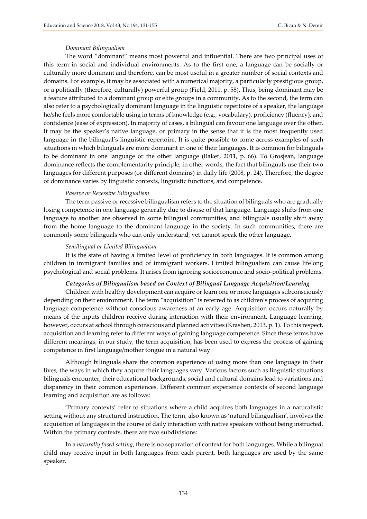#### *Dominant Bilingualism*

The word "dominant" means most powerful and influential. There are two principal uses of this term in social and individual environments. As to the first one, a language can be socially or culturally more dominant and therefore, can be most useful in a greater number of social contexts and domains. For example, it may be associated with a numerical majority, a particularly prestigious group, or a politically (therefore, culturally) powerful group (Field, 2011, p. 58). Thus, being dominant may be a feature attributed to a dominant group or elite groups in a community. As to the second, the term can also refer to a psychologically dominant language in the linguistic repertoire of a speaker, the language he/she feels more comfortable using in terms of knowledge (e.g., vocabulary), proficiency (fluency), and confidence (ease of expression). In majority of cases, a bilingual can favour one language over the other. It may be the speaker's native language, or primary in the sense that it is the most frequently used language in the bilingual's linguistic repertoire. It is quite possible to come across examples of such situations in which bilinguals are more dominant in one of their languages. It is common for bilinguals to be dominant in one language or the other language (Baker, 2011, p. 66). To Grosjean, language dominance reflects the complementarity principle, in other words, the fact that bilinguals use their two languages for different purposes (or different domains) in daily life (2008, p. 24). Therefore, the degree of dominance varies by linguistic contexts, linguistic functions, and competence.

#### *Passive or Recessive Bilingualism*

The term passive or recessive bilingualism refers to the situation of bilinguals who are gradually losing competence in one language generally due to disuse of that language. Language shifts from one language to another are observed in some bilingual communities, and bilinguals usually shift away from the home language to the dominant language in the society. In such communities, there are commonly some bilinguals who can only understand, yet cannot speak the other language.

#### *Semilingual or Limited Bilingualism*

It is the state of having a limited level of proficiency in both languages. It is common among children in immigrant families and of immigrant workers. Limited bilingualism can cause lifelong psychological and social problems. It arises from ignoring socioeconomic and socio-political problems.

#### *Categories of Bilingualism based on Context of Bilingual Language Acquisition/Learning*

Children with healthy development can acquire or learn one or more languages subconsciously depending on their environment. The term "acquisition" is referred to as children's process of acquiring language competence without conscious awareness at an early age. Acquisition occurs naturally by means of the inputs children receive during interaction with their environment. Language learning, however, occurs at school through conscious and planned activities (Krashen, 2013, p. 1). To this respect, acquisition and learning refer to different ways of gaining language competence. Since these terms have different meanings, in our study, the term acquisition, has been used to express the process of gaining competence in first language/mother tongue in a natural way.

Although bilinguals share the common experience of using more than one language in their lives, the ways in which they acquire their languages vary. Various factors such as linguistic situations bilinguals encounter, their educational backgrounds, social and cultural domains lead to variations and disparency in their common experiences. Different common experience contexts of second language learning and acquisition are as follows:

'Primary contexts' refer to situations where a child acquires both languages in a naturalistic setting without any structured instruction. The term, also known as 'natural bilingualism', involves the acquisition of languages in the course of daily interaction with native speakers without being instructed. Within the primary contexts, there are two subdivisions:

In a *naturally fused setting*, there is no separation of context for both languages. While a bilingual child may receive input in both languages from each parent, both languages are used by the same speaker.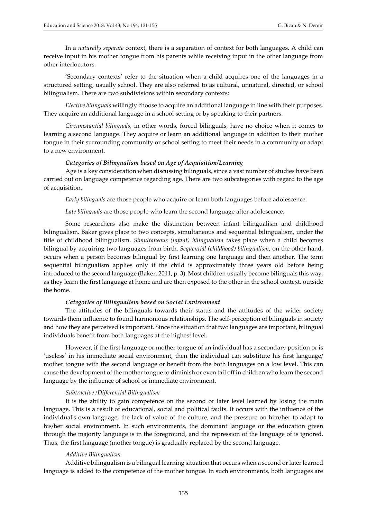In a *naturally separate* context, there is a separation of context for both languages. A child can receive input in his mother tongue from his parents while receiving input in the other language from other interlocutors.

'Secondary contexts' refer to the situation when a child acquires one of the languages in a structured setting, usually school. They are also referred to as cultural, unnatural, directed, or school bilingualism. There are two subdivisions within secondary contexts:

*Elective bilinguals* willingly choose to acquire an additional language in line with their purposes. They acquire an additional language in a school setting or by speaking to their partners.

*Circumstantial bilinguals*, in other words, forced bilinguals, have no choice when it comes to learning a second language. They acquire or learn an additional language in addition to their mother tongue in their surrounding community or school setting to meet their needs in a community or adapt to a new environment.

#### *Categories of Bilingualism based on Age of Acquisition/Learning*

Age is a key consideration when discussing bilinguals, since a vast number of studies have been carried out on language competence regarding age. There are two subcategories with regard to the age of acquisition.

*Early bilinguals* are those people who acquire or learn both languages before adolescence.

*Late bilinguals* are those people who learn the second language after adolescence.

Some researchers also make the distinction between infant bilingualism and childhood bilingualism. Baker gives place to two concepts, simultaneous and sequential bilingualism, under the title of childhood bilingualism. *Simultaneous (infant) bilingualism* takes place when a child becomes bilingual by acquiring two languages from birth. *Sequential (childhood) bilingualism*, on the other hand, occurs when a person becomes bilingual by first learning one language and then another. The term sequential bilingualism applies only if the child is approximately three years old before being introduced to the second language (Baker, 2011, p. 3). Most children usually become bilinguals this way, as they learn the first language at home and are then exposed to the other in the school context, outside the home.

#### *Categories of Bilingualism based on Social Environment*

The attitudes of the bilinguals towards their status and the attitudes of the wider society towards them influence to found harmonious relationships. The self-perception of bilinguals in society and how they are perceived is important. Since the situation that two languages are important, bilingual individuals benefit from both languages at the highest level.

However, if the first language or mother tongue of an individual has a secondary position or is 'useless' in his immediate social environment, then the individual can substitute his first language/ mother tongue with the second language or benefit from the both languages on a low level. This can cause the development of the mother tongue to diminish or even tail off in children who learn the second language by the influence of school or immediate environment.

#### *Subtractive /Differential Bilingualism*

It is the ability to gain competence on the second or later level learned by losing the main language. This is a result of educational, social and political faults. It occurs with the influence of the individual's own language, the lack of value of the culture, and the pressure on him/her to adapt to his/her social environment. In such environments, the dominant language or the education given through the majority language is in the foreground, and the repression of the language of is ignored. Thus, the first language (mother tongue) is gradually replaced by the second language.

#### *Additive Bilingualism*

Additive bilingualism is a bilingual learning situation that occurs when a second or later learned language is added to the competence of the mother tongue. In such environments, both languages are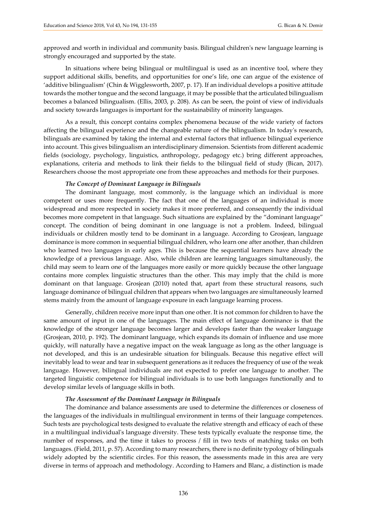approved and worth in individual and community basis. Bilingual children's new language learning is strongly encouraged and supported by the state.

In situations where being bilingual or multilingual is used as an incentive tool, where they support additional skills, benefits, and opportunities for one's life, one can argue of the existence of 'additive bilingualism' (Chin & Wigglesworth, 2007, p. 17). If an individual develops a positive attitude towards the mother tongue and the second language, it may be possible that the articulated bilingualism becomes a balanced bilingualism. (Ellis, 2003, p. 208). As can be seen, the point of view of individuals and society towards languages is important for the sustainability of minority languages.

As a result, this concept contains complex phenomena because of the wide variety of factors affecting the bilingual experience and the changeable nature of the bilingualism. In today's research, bilinguals are examined by taking the internal and external factors that influence bilingual experience into account. This gives bilingualism an interdisciplinary dimension. Scientists from different academic fields (sociology, psychology, linguistics, anthropology, pedagogy etc.) bring different approaches, explanations, criteria and methods to link their fields to the bilingual field of study (Bican, 2017). Researchers choose the most appropriate one from these approaches and methods for their purposes.

#### *The Concept of Dominant Language in Bilinguals*

The dominant language, most commonly, is the language which an individual is more competent or uses more frequently. The fact that one of the languages of an individual is more widespread and more respected in society makes it more preferred, and consequently the individual becomes more competent in that language. Such situations are explained by the "dominant language" concept. The condition of being dominant in one language is not a problem. Indeed, bilingual individuals or children mostly tend to be dominant in a language. According to Grosjean, language dominance is more common in sequential bilingual children, who learn one after another, than children who learned two languages in early ages. This is because the sequential learners have already the knowledge of a previous language. Also, while children are learning languages simultaneously, the child may seem to learn one of the languages more easily or more quickly because the other language contains more complex linguistic structures than the other. This may imply that the child is more dominant on that language. Grosjean (2010) noted that, apart from these structural reasons, such language dominance of bilingual children that appears when two languages are simultaneously learned stems mainly from the amount of language exposure in each language learning process.

Generally, children receive more input than one other. It is not common for children to have the same amount of input in one of the languages. The main effect of language dominance is that the knowledge of the stronger language becomes larger and develops faster than the weaker language (Grosjean, 2010, p. 192). The dominant language, which expands its domain of influence and use more quickly, will naturally have a negative impact on the weak language as long as the other language is not developed, and this is an undesirable situation for bilinguals. Because this negative effect will inevitably lead to wear and tear in subsequent generations as it reduces the frequency of use of the weak language. However, bilingual individuals are not expected to prefer one language to another. The targeted linguistic competence for bilingual individuals is to use both languages functionally and to develop similar levels of language skills in both.

#### *The Assessment of the Dominant Language in Bilinguals*

The dominance and balance assessments are used to determine the differences or closeness of the languages of the individuals in multilingual environment in terms of their language competences. Such tests are psychological tests designed to evaluate the relative strength and efficacy of each of these in a multilingual individual's language diversity. These tests typically evaluate the response time, the number of responses, and the time it takes to process / fill in two texts of matching tasks on both languages. (Field, 2011, p. 57). According to many researchers, there is no definite typology of bilinguals widely adopted by the scientific circles. For this reason, the assessments made in this area are very diverse in terms of approach and methodology. According to Hamers and Blanc, a distinction is made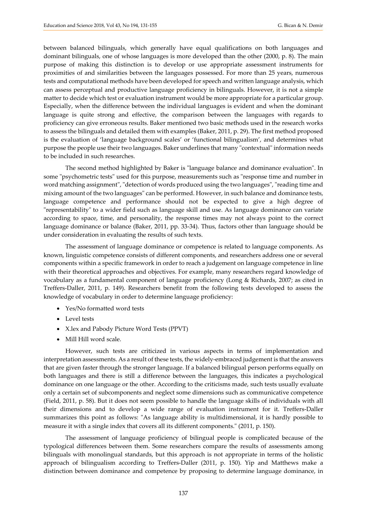between balanced bilinguals, which generally have equal qualifications on both languages and dominant bilinguals, one of whose languages is more developed than the other (2000, p. 8). The main purpose of making this distinction is to develop or use appropriate assessment instruments for proximities of and similarities between the languages possessed. For more than 25 years, numerous tests and computational methods have been developed for speech and written language analysis, which can assess perceptual and productive language proficiency in bilinguals. However, it is not a simple matter to decide which test or evaluation instrument would be more appropriate for a particular group. Especially, when the difference between the individual languages is evident and when the dominant language is quite strong and effective, the comparison between the languages with regards to proficiency can give erroneous results. Baker mentioned two basic methods used in the research works to assess the bilinguals and detailed them with examples (Baker, 2011, p. 29). The first method proposed is the evaluation of 'language background scales' or 'functional bilingualism', and determines what purpose the people use their two languages. Baker underlines that many "contextual" information needs to be included in such researches.

The second method highlighted by Baker is "language balance and dominance evaluation". In some "psychometric tests" used for this purpose, measurements such as "response time and number in word matching assignment", "detection of words produced using the two languages", "reading time and mixing amount of the two languages" can be performed. However, in such balance and dominance tests, language competence and performance should not be expected to give a high degree of "representability" to a wider field such as language skill and use. As language dominance can variate according to space, time, and personality, the response times may not always point to the correct language dominance or balance (Baker, 2011, pp. 33-34). Thus, factors other than language should be under consideration in evaluating the results of such texts.

The assessment of language dominance or competence is related to language components. As known, linguistic competence consists of different components, and researchers address one or several components within a specific framework in order to reach a judgement on language competence in line with their theoretical approaches and objectives. For example, many researchers regard knowledge of vocabulary as a fundamental component of language proficiency (Long & Richards, 2007; as cited in Treffers-Daller, 2011, p. 149). Researchers benefit from the following tests developed to assess the knowledge of vocabulary in order to determine language proficiency:

- Yes/No formatted word tests
- Level tests
- X.lex and Pabody Picture Word Tests (PPVT)
- Mill Hill word scale.

However, such tests are criticized in various aspects in terms of implementation and interpretation assessments. As a result of these tests, the widely-embraced judgement is that the answers that are given faster through the stronger language. If a balanced bilingual person performs equally on both languages and there is still a difference between the languages, this indicates a psychological dominance on one language or the other. According to the criticisms made, such tests usually evaluate only a certain set of subcomponents and neglect some dimensions such as communicative competence (Field, 2011, p. 58). But it does not seem possible to handle the language skills of individuals with all their dimensions and to develop a wide range of evaluation instrument for it. Treffers-Daller summarizes this point as follows: "As language ability is multidimensional, it is hardly possible to measure it with a single index that covers all its different components." (2011, p. 150).

The assessment of language proficiency of bilingual people is complicated because of the typological differences between them. Some researchers compare the results of assessments among bilinguals with monolingual standards, but this approach is not appropriate in terms of the holistic approach of bilingualism according to Treffers-Daller (2011, p. 150). Yip and Matthews make a distinction between dominance and competence by proposing to determine language dominance, in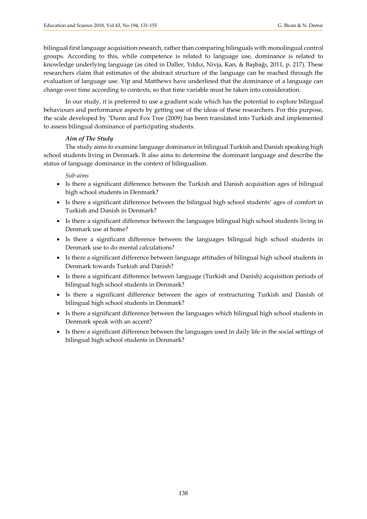bilingual first language acquisition research, rather than comparing bilinguals with monolingual control groups. According to this, while competence is related to language use, dominance is related to knowledge underlying language (as cited in Daller, Yıldız, Nivja, Kan, & Başbağı, 2011, p. 217). These researchers claim that estimates of the abstract structure of the language can be reached through the evaluation of language use. Yip and Matthews have underlined that the dominance of a language can change over time according to contexts, so that time variable must be taken into consideration.

In our study, it is preferred to use a gradient scale which has the potential to explore bilingual behaviours and performance aspects by getting use of the ideas of these researchers. For this purpose, the scale developed by "Dunn and Fox Tree (2009) has been translated into Turkish and implemented to assess bilingual dominance of participating students.

# *Aim of The Study*

The study aims to examine language dominance in bilingual Turkish and Danish speaking high school students living in Denmark. It also aims to determine the dominant language and describe the status of language dominance in the context of bilingualism.

# *Sub-aims*

- Is there a significant difference between the Turkish and Danish acquisition ages of bilingual high school students in Denmark?
- Is there a significant difference between the bilingual high school students' ages of comfort in Turkish and Danish in Denmark?
- Is there a significant difference between the languages bilingual high school students living in Denmark use at home?
- Is there a significant difference between the languages bilingual high school students in Denmark use to do mental calculations?
- Is there a significant difference between language attitudes of bilingual high school students in Denmark towards Turkish and Danish?
- Is there a significant difference between language (Turkish and Danish) acquisition periods of bilingual high school students in Denmark?
- Is there a significant difference between the ages of restructuring Turkish and Danish of bilingual high school students in Denmark?
- Is there a significant difference between the languages which bilingual high school students in Denmark speak with an accent?
- Is there a significant difference between the languages used in daily life in the social settings of bilingual high school students in Denmark?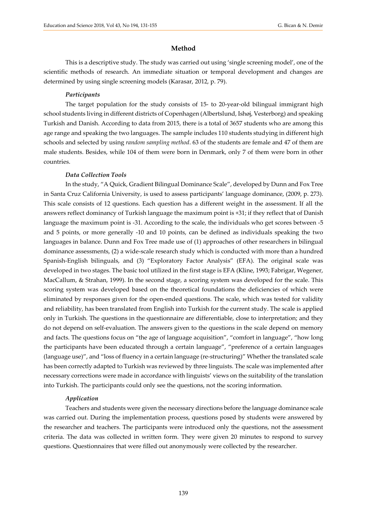### **Method**

This is a descriptive study. The study was carried out using 'single screening model', one of the scientific methods of research. An immediate situation or temporal development and changes are determined by using single screening models (Karasar, 2012, p. 79).

#### *Participants*

The target population for the study consists of 15- to 20-year-old bilingual immigrant high school students living in different districts of Copenhagen (Albertslund, Ishøj, Vesterborg) and speaking Turkish and Danish. According to data from 2015, there is a total of 3657 students who are among this age range and speaking the two languages. The sample includes 110 students studying in different high schools and selected by using *random sampling method*. 63 of the students are female and 47 of them are male students. Besides, while 104 of them were born in Denmark, only 7 of them were born in other countries.

#### *Data Collection Tools*

In the study, "A Quick, Gradient Bilingual Dominance Scale", developed by Dunn and Fox Tree in Santa Cruz California University, is used to assess participants' language dominance, (2009, p. 273). This scale consists of 12 questions. Each question has a different weight in the assessment. If all the answers reflect dominancy of Turkish language the maximum point is +31; if they reflect that of Danish language the maximum point is -31. According to the scale, the individuals who get scores between -5 and 5 points, or more generally -10 and 10 points, can be defined as individuals speaking the two languages in balance. Dunn and Fox Tree made use of (1) approaches of other researchers in bilingual dominance assessments, (2) a wide-scale research study which is conducted with more than a hundred Spanish-English bilinguals, and (3) "Exploratory Factor Analysis" (EFA). The original scale was developed in two stages. The basic tool utilized in the first stage is EFA (Kline, 1993; Fabrigar, Wegener, MacCallum, & Strahan, 1999). In the second stage, a scoring system was developed for the scale. This scoring system was developed based on the theoretical foundations the deficiencies of which were eliminated by responses given for the open-ended questions. The scale, which was tested for validity and reliability, has been translated from English into Turkish for the current study. The scale is applied only in Turkish. The questions in the questionnaire are differentiable, close to interpretation; and they do not depend on self-evaluation. The answers given to the questions in the scale depend on memory and facts. The questions focus on "the age of language acquisition", "comfort in language", "how long the participants have been educated through a certain language", "preference of a certain languages (language use)", and "loss of fluency in a certain language (re-structuring)" Whether the translated scale has been correctly adapted to Turkish was reviewed by three linguists. The scale was implemented after necessary corrections were made in accordance with linguists' views on the suitability of the translation into Turkish. The participants could only see the questions, not the scoring information.

### *Application*

Teachers and students were given the necessary directions before the language dominance scale was carried out. During the implementation process, questions posed by students were answered by the researcher and teachers. The participants were introduced only the questions, not the assessment criteria. The data was collected in written form. They were given 20 minutes to respond to survey questions. Questionnaires that were filled out anonymously were collected by the researcher.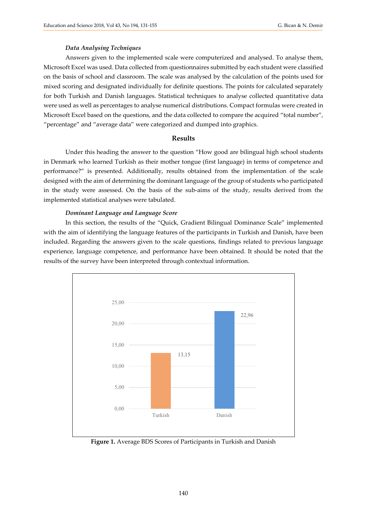#### *Data Analysing Techniques*

Answers given to the implemented scale were computerized and analysed. To analyse them, Microsoft Excel was used. Data collected from questionnaires submitted by each student were classified on the basis of school and classroom. The scale was analysed by the calculation of the points used for mixed scoring and designated individually for definite questions. The points for calculated separately for both Turkish and Danish languages. Statistical techniques to analyse collected quantitative data were used as well as percentages to analyse numerical distributions. Compact formulas were created in Microsoft Excel based on the questions, and the data collected to compare the acquired "total number", "percentage" and "average data" were categorized and dumped into graphics.

#### **Results**

Under this heading the answer to the question "How good are bilingual high school students in Denmark who learned Turkish as their mother tongue (first language) in terms of competence and performance?" is presented. Additionally, results obtained from the implementation of the scale designed with the aim of determining the dominant language of the group of students who participated in the study were assessed. On the basis of the sub-aims of the study, results derived from the implemented statistical analyses were tabulated.

#### *Dominant Language and Language Score*

In this section, the results of the "Quick, Gradient Bilingual Dominance Scale" implemented with the aim of identifying the language features of the participants in Turkish and Danish, have been included. Regarding the answers given to the scale questions, findings related to previous language experience, language competence, and performance have been obtained. It should be noted that the results of the survey have been interpreted through contextual information.



**Figure 1.** Average BDS Scores of Participants in Turkish and Danish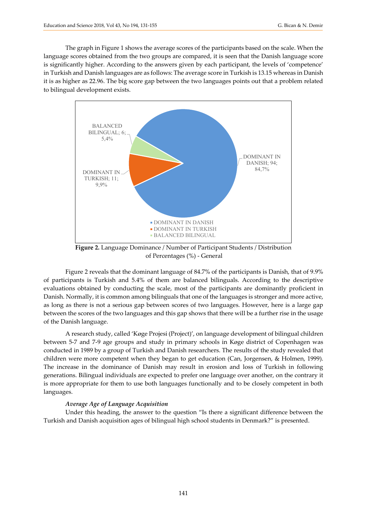The graph in Figure 1 shows the average scores of the participants based on the scale. When the language scores obtained from the two groups are compared, it is seen that the Danish language score is significantly higher. According to the answers given by each participant, the levels of 'competence' in Turkish and Danish languages are as follows: The average score in Turkish is 13.15 whereas in Danish it is as higher as 22.96. The big score gap between the two languages points out that a problem related to bilingual development exists.



**Figure 2.** Language Dominance / Number of Participant Students / Distribution of Percentages (%) - General

Figure 2 reveals that the dominant language of 84.7% of the participants is Danish, that of 9.9% of participants is Turkish and 5.4% of them are balanced bilinguals. According to the descriptive evaluations obtained by conducting the scale, most of the participants are dominantly proficient in Danish. Normally, it is common among bilinguals that one of the languages is stronger and more active, as long as there is not a serious gap between scores of two languages. However, here is a large gap between the scores of the two languages and this gap shows that there will be a further rise in the usage of the Danish language.

A research study, called 'Køge Projesi (Project)', on language development of bilingual children between 5-7 and 7-9 age groups and study in primary schools in Køge district of Copenhagen was conducted in 1989 by a group of Turkish and Danish researchers. The results of the study revealed that children were more competent when they began to get education (Can, Jorgensen, & Holmen, 1999). The increase in the dominance of Danish may result in erosion and loss of Turkish in following generations. Bilingual individuals are expected to prefer one language over another, on the contrary it is more appropriate for them to use both languages functionally and to be closely competent in both languages.

#### *Average Age of Language Acquisition*

Under this heading, the answer to the question "Is there a significant difference between the Turkish and Danish acquisition ages of bilingual high school students in Denmark?" is presented.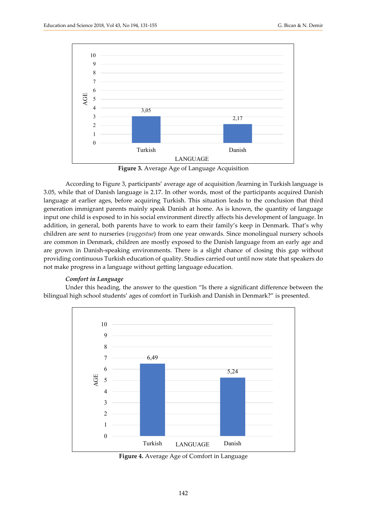

**Figure 3.** Average Age of Language Acquisition

According to Figure 3, participants' average age of acquisition /learning in Turkish language is 3.05, while that of Danish language is 2.17. In other words, most of the participants acquired Danish language at earlier ages, before acquiring Turkish. This situation leads to the conclusion that third generation immigrant parents mainly speak Danish at home. As is known, the quantity of language input one child is exposed to in his social environment directly affects his development of language. In addition, in general, both parents have to work to earn their family's keep in Denmark. That's why children are sent to nurseries (*vuggestue*) from one year onwards. Since monolingual nursery schools are common in Denmark, children are mostly exposed to the Danish language from an early age and are grown in Danish-speaking environments. There is a slight chance of closing this gap without providing continuous Turkish education of quality. Studies carried out until now state that speakers do not make progress in a language without getting language education.

# *Comfort in Language*

Under this heading, the answer to the question "Is there a significant difference between the bilingual high school students' ages of comfort in Turkish and Danish in Denmark?" is presented.



**Figure 4.** Average Age of Comfort in Language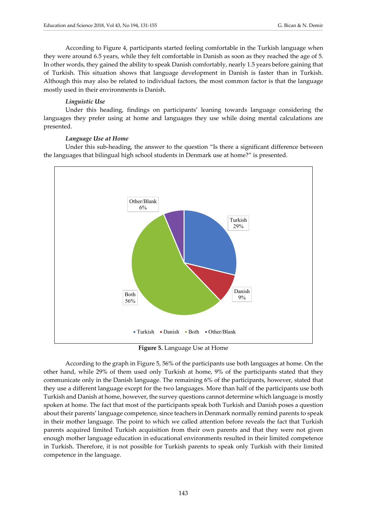According to Figure 4, participants started feeling comfortable in the Turkish language when they were around 6.5 years, while they felt comfortable in Danish as soon as they reached the age of 5. In other words, they gained the ability to speak Danish comfortably, nearly 1.5 years before gaining that of Turkish. This situation shows that language development in Danish is faster than in Turkish. Although this may also be related to individual factors, the most common factor is that the language mostly used in their environments is Danish.

# *Linguistic Use*

Under this heading, findings on participants' leaning towards language considering the languages they prefer using at home and languages they use while doing mental calculations are presented.

# *Language Use at Home*

Under this sub-heading, the answer to the question "Is there a significant difference between the languages that bilingual high school students in Denmark use at home?" is presented.



**Figure 5.** Language Use at Home

According to the graph in Figure 5, 56% of the participants use both languages at home. On the other hand, while 29% of them used only Turkish at home, 9% of the participants stated that they communicate only in the Danish language. The remaining 6% of the participants, however, stated that they use a different language except for the two languages. More than half of the participants use both Turkish and Danish at home, however, the survey questions cannot determine which language is mostly spoken at home. The fact that most of the participants speak both Turkish and Danish poses a question about their parents' language competence, since teachers in Denmark normally remind parents to speak in their mother language. The point to which we called attention before reveals the fact that Turkish parents acquired limited Turkish acquisition from their own parents and that they were not given enough mother language education in educational environments resulted in their limited competence in Turkish. Therefore, it is not possible for Turkish parents to speak only Turkish with their limited competence in the language.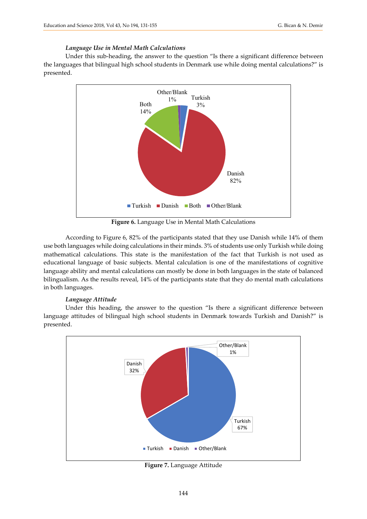# *Language Use in Mental Math Calculations*

Under this sub-heading, the answer to the question "Is there a significant difference between the languages that bilingual high school students in Denmark use while doing mental calculations?" is presented.



**Figure 6.** Language Use in Mental Math Calculations

According to Figure 6, 82% of the participants stated that they use Danish while 14% of them use both languages while doing calculations in their minds. 3% of students use only Turkish while doing mathematical calculations. This state is the manifestation of the fact that Turkish is not used as educational language of basic subjects. Mental calculation is one of the manifestations of cognitive language ability and mental calculations can mostly be done in both languages in the state of balanced bilingualism. As the results reveal, 14% of the participants state that they do mental math calculations in both languages.

# *Language Attitude*

Under this heading, the answer to the question "Is there a significant difference between language attitudes of bilingual high school students in Denmark towards Turkish and Danish?" is presented.



**Figure 7.** Language Attitude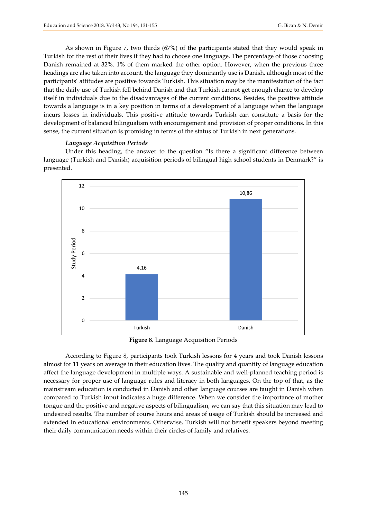As shown in Figure 7, two thirds (67%) of the participants stated that they would speak in Turkish for the rest of their lives if they had to choose one language. The percentage of those choosing Danish remained at 32%. 1% of them marked the other option. However, when the previous three headings are also taken into account, the language they dominantly use is Danish, although most of the participants' attitudes are positive towards Turkish. This situation may be the manifestation of the fact that the daily use of Turkish fell behind Danish and that Turkish cannot get enough chance to develop itself in individuals due to the disadvantages of the current conditions. Besides, the positive attitude towards a language is in a key position in terms of a development of a language when the language incurs losses in individuals. This positive attitude towards Turkish can constitute a basis for the development of balanced bilingualism with encouragement and provision of proper conditions. In this sense, the current situation is promising in terms of the status of Turkish in next generations.

# *Language Acquisition Periods*

Under this heading, the answer to the question "Is there a significant difference between language (Turkish and Danish) acquisition periods of bilingual high school students in Denmark?" is presented.



**Figure 8.** Language Acquisition Periods

According to Figure 8, participants took Turkish lessons for 4 years and took Danish lessons almost for 11 years on average in their education lives. The quality and quantity of language education affect the language development in multiple ways. A sustainable and well-planned teaching period is necessary for proper use of language rules and literacy in both languages. On the top of that, as the mainstream education is conducted in Danish and other language courses are taught in Danish when compared to Turkish input indicates a huge difference. When we consider the importance of mother tongue and the positive and negative aspects of bilingualism, we can say that this situation may lead to undesired results. The number of course hours and areas of usage of Turkish should be increased and extended in educational environments. Otherwise, Turkish will not benefit speakers beyond meeting their daily communication needs within their circles of family and relatives.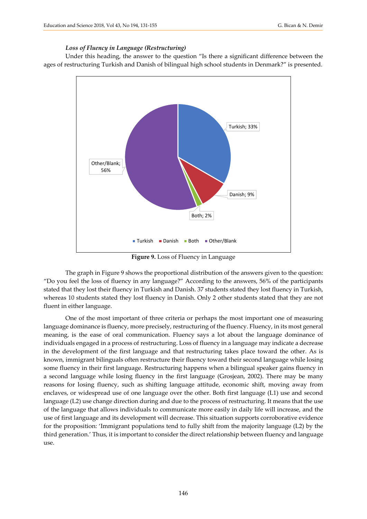#### *Loss of Fluency in Language (Restructuring)*

Under this heading, the answer to the question "Is there a significant difference between the ages of restructuring Turkish and Danish of bilingual high school students in Denmark?" is presented.



**Figure 9.** Loss of Fluency in Language

The graph in Figure 9 shows the proportional distribution of the answers given to the question: "Do you feel the loss of fluency in any language?" According to the answers, 56% of the participants stated that they lost their fluency in Turkish and Danish. 37 students stated they lost fluency in Turkish, whereas 10 students stated they lost fluency in Danish. Only 2 other students stated that they are not fluent in either language.

One of the most important of three criteria or perhaps the most important one of measuring language dominance is fluency, more precisely, restructuring of the fluency. Fluency, in its most general meaning, is the ease of oral communication. Fluency says a lot about the language dominance of individuals engaged in a process of restructuring. Loss of fluency in a language may indicate a decrease in the development of the first language and that restructuring takes place toward the other. As is known, immigrant bilinguals often restructure their fluency toward their second language while losing some fluency in their first language. Restructuring happens when a bilingual speaker gains fluency in a second language while losing fluency in the first language (Grosjean, 2002). There may be many reasons for losing fluency, such as shifting language attitude, economic shift, moving away from enclaves, or widespread use of one language over the other. Both first language (L1) use and second language (L2) use change direction during and due to the process of restructuring. It means that the use of the language that allows individuals to communicate more easily in daily life will increase, and the use of first language and its development will decrease. This situation supports corroborative evidence for the proposition: 'Immigrant populations tend to fully shift from the majority language (L2) by the third generation.' Thus, it is important to consider the direct relationship between fluency and language use.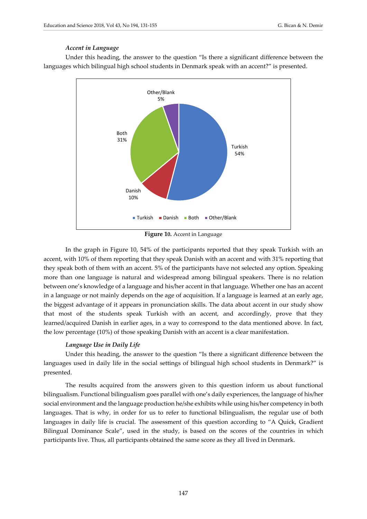#### *Accent in Language*

Under this heading, the answer to the question "Is there a significant difference between the languages which bilingual high school students in Denmark speak with an accent?" is presented.



**Figure 10.** Accent in Language

In the graph in Figure 10, 54% of the participants reported that they speak Turkish with an accent, with 10% of them reporting that they speak Danish with an accent and with 31% reporting that they speak both of them with an accent. 5% of the participants have not selected any option. Speaking more than one language is natural and widespread among bilingual speakers. There is no relation between one's knowledge of a language and his/her accent in that language. Whether one has an accent in a language or not mainly depends on the age of acquisition. If a language is learned at an early age, the biggest advantage of it appears in pronunciation skills. The data about accent in our study show that most of the students speak Turkish with an accent, and accordingly, prove that they learned/acquired Danish in earlier ages, in a way to correspond to the data mentioned above. In fact, the low percentage (10%) of those speaking Danish with an accent is a clear manifestation.

#### *Language Use in Daily Life*

Under this heading, the answer to the question "Is there a significant difference between the languages used in daily life in the social settings of bilingual high school students in Denmark?" is presented.

The results acquired from the answers given to this question inform us about functional bilingualism. Functional bilingualism goes parallel with one's daily experiences, the language of his/her social environment and the language production he/she exhibits while using his/her competency in both languages. That is why, in order for us to refer to functional bilingualism, the regular use of both languages in daily life is crucial. The assessment of this question according to "A Quick, Gradient Bilingual Dominance Scale", used in the study, is based on the scores of the countries in which participants live. Thus, all participants obtained the same score as they all lived in Denmark.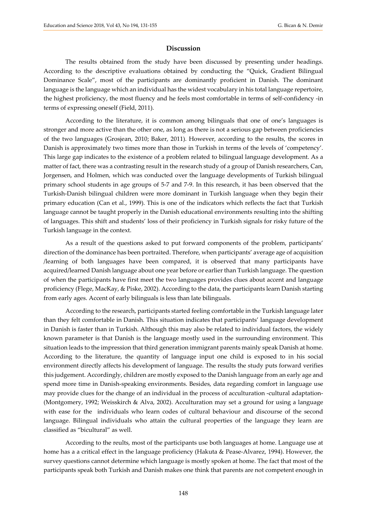### **Discussion**

The results obtained from the study have been discussed by presenting under headings. According to the descriptive evaluations obtained by conducting the "Quick, Gradient Bilingual Dominance Scale", most of the participants are dominantly proficient in Danish. The dominant language is the language which an individual has the widest vocabulary in his total language repertoire, the highest proficiency, the most fluency and he feels most comfortable in terms of self-confidency -in terms of expressing oneself (Field, 2011).

According to the literature, it is common among bilinguals that one of one's languages is stronger and more active than the other one, as long as there is not a serious gap between proficiencies of the two languages (Grosjean, 2010; Baker, 2011). However, according to the results, the scores in Danish is approximately two times more than those in Turkish in terms of the levels of 'competency'. This large gap indicates to the existence of a problem related to bilingual language development. As a matter of fact, there was a contrasting result in the research study of a group of Danish researchers, Can, Jorgensen, and Holmen, which was conducted over the language developments of Turkish bilingual primary school students in age groups of 5-7 and 7-9. In this research, it has been observed that the Turkish-Danish bilingual children were more dominant in Turkish language when they begin their primary education (Can et al., 1999). This is one of the indicators which reflects the fact that Turkish language cannot be taught properly in the Danish educational environments resulting into the shifting of languages. This shift and students' loss of their proficiency in Turkish signals for risky future of the Turkish language in the context.

As a result of the questions asked to put forward components of the problem, participants' direction of the dominance has been portraited. Therefore, when participants' average age of acquisition /learning of both languages have been compared, it is observed that many participants have acquired/learned Danish language about one year before or earlier than Turkish language. The question of when the participants have first meet the two languages provides clues about accent and language proficiency (Flege, MacKay, & Piske, 2002). According to the data, the participants learn Danish starting from early ages. Accent of early bilinguals is less than late bilinguals.

According to the research, participants started feeling comfortable in the Turkish language later than they felt comfortable in Danish. This situation indicates that participants' language development in Danish is faster than in Turkish. Although this may also be related to individual factors, the widely known parameter is that Danish is the language mostly used in the surrounding environment. This situation leads to the impression that third generation immigrant parents mainly speak Danish at home. According to the literature, the quantity of language input one child is exposed to in his social environment directly affects his development of language. The results the study puts forward verifies this judgement. Accordingly, children are mostly exposed to the Danish language from an early age and spend more time in Danish-speaking environments. Besides, data regarding comfort in language use may provide clues for the change of an individual in the process of acculturation -cultural adaptation- (Montgomery, 1992; Weisskirch & Alva, 2002). Acculturation may set a ground for using a language with ease for the individuals who learn codes of cultural behaviour and discourse of the second language. Bilingual individuals who attain the cultural properties of the language they learn are classified as "bicultural" as well.

According to the reults, most of the participants use both languages at home. Language use at home has a a critical effect in the language proficiency (Hakuta & Pease-Alvarez, 1994). However, the survey questions cannot determine which language is mostly spoken at home. The fact that most of the participants speak both Turkish and Danish makes one think that parents are not competent enough in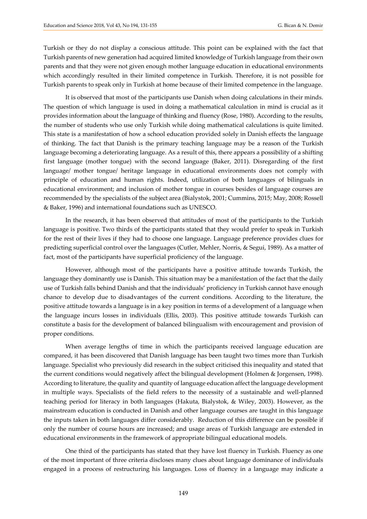Turkish or they do not display a conscious attitude. This point can be explained with the fact that Turkish parents of new generation had acquired limited knowledge of Turkish language from their own parents and that they were not given enough mother language education in educational environments which accordingly resulted in their limited competence in Turkish. Therefore, it is not possible for Turkish parents to speak only in Turkish at home because of their limited competence in the language.

It is observed that most of the participants use Danish when doing calculations in their minds. The question of which language is used in doing a mathematical calculation in mind is crucial as it provides information about the language of thinking and fluency (Rose, 1980). According to the results, the number of students who use only Turkish while doing mathematical calculations is quite limited. This state is a manifestation of how a school education provided solely in Danish effects the language of thinking. The fact that Danish is the primary teaching language may be a reason of the Turkish language becoming a deteriorating language. As a result of this, there appears a possibility of a shifting first language (mother tongue) with the second language (Baker, 2011). Disregarding of the first language/ mother tongue/ heritage language in educational environments does not comply with principle of education and human rights. Indeed, utilization of both languages of bilinguals in educational environment; and inclusion of mother tongue in courses besides of language courses are recommended by the specialists of the subject area (Bialystok, 2001; Cummins, 2015; May, 2008; Rossell & Baker, 1996) and international foundations such as UNESCO.

In the research, it has been observed that attitudes of most of the participants to the Turkish language is positive. Two thirds of the participants stated that they would prefer to speak in Turkish for the rest of their lives if they had to choose one language. Language preference provides clues for predicting superficial control over the languages (Cutler, Mehler, Norris, & Segui, 1989). As a matter of fact, most of the participants have superficial proficiency of the language.

However, although most of the participants have a positive attitude towards Turkish, the language they dominantly use is Danish. This situation may be a manifestation of the fact that the daily use of Turkish falls behind Danish and that the individuals' proficiency in Turkish cannot have enough chance to develop due to disadvantages of the current conditions. According to the literature, the positive attitude towards a language is in a key position in terms of a development of a language when the language incurs losses in individuals (Ellis, 2003). This positive attitude towards Turkish can constitute a basis for the development of balanced bilingualism with encouragement and provision of proper conditions.

When average lengths of time in which the participants received language education are compared, it has been discovered that Danish language has been taught two times more than Turkish language. Specialist who previously did research in the subject criticised this inequality and stated that the current conditions would negatively affect the bilingual development (Holmen & Jorgensen, 1998). According to literature, the quality and quantity of language education affect the language development in multiple ways. Specialists of the field refers to the necessity of a sustainable and well-planned teaching period for literacy in both languages (Hakuta, Bialystok, & Wiley, 2003). However, as the mainstream education is conducted in Danish and other language courses are taught in this language the inputs taken in both languages differ considerably. Reduction of this difference can be possible if only the number of course hours are increased; and usage areas of Turkish language are extended in educational environments in the framework of appropriate bilingual educational models.

One third of the participants has stated that they have lost fluency in Turkish. Fluency as one of the most important of three criteria discloses many clues about language dominance of individuals engaged in a process of restructuring his languages. Loss of fluency in a language may indicate a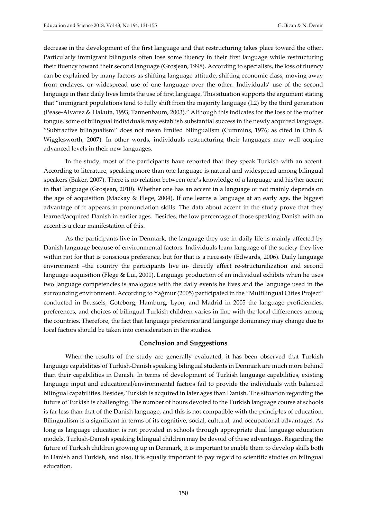decrease in the development of the first language and that restructuring takes place toward the other. Particularly immigrant bilinguals often lose some fluency in their first language while restructuring their fluency toward their second language (Grosjean, 1998). According to specialists, the loss of fluency can be explained by many factors as shifting language attitude, shifting economic class, moving away from enclaves, or widespread use of one language over the other. Individuals' use of the second language in their daily lives limits the use of first language. This situation supports the argument stating that "immigrant populations tend to fully shift from the majority language (L2) by the third generation (Pease-Alvarez & Hakuta, 1993; Tannenbaum, 2003)." Although this indicates for the loss of the mother tongue, some of bilingual individuals may establish substantial success in the newly acquired language. "Subtractive bilingualism" does not mean limited bilingualism (Cummins, 1976; as cited in Chin & Wigglesworth, 2007). In other words, individuals restructuring their languages may well acquire advanced levels in their new languages.

In the study, most of the participants have reported that they speak Turkish with an accent. According to literature, speaking more than one language is natural and widespread among bilingual speakers (Baker, 2007). There is no relation between one's knowledge of a language and his/her accent in that language (Grosjean, 2010). Whether one has an accent in a language or not mainly depends on the age of acquisition (Mackay & Flege, 2004). If one learns a language at an early age, the biggest advantage of it appears in pronunciation skills. The data about accent in the study prove that they learned/acquired Danish in earlier ages. Besides, the low percentage of those speaking Danish with an accent is a clear manifestation of this.

As the participants live in Denmark, the language they use in daily life is mainly affected by Danish language because of environmental factors. Individuals learn language of the society they live within not for that is conscious preference, but for that is a necessity (Edwards, 2006). Daily language environment –the country the participants live in- directly affect re-structuralization and second language acquisition (Flege & Lui, 2001). Language production of an individual exhibits when he uses two language competencies is analogous with the daily events he lives and the language used in the surrounding environment. According to Yağmur (2005) participated in the "Multilingual Cities Project" conducted in Brussels, Goteborg, Hamburg, Lyon, and Madrid in 2005 the language proficiencies, preferences, and choices of bilingual Turkish children varies in line with the local differences among the countries. Therefore, the fact that language preference and language dominancy may change due to local factors should be taken into consideration in the studies.

#### **Conclusion and Suggestions**

When the results of the study are generally evaluated, it has been observed that Turkish language capabilities of Turkish-Danish speaking bilingual students in Denmark are much more behind than their capabilities in Danish. In terms of development of Turkish language capabilities, existing language input and educational/environmental factors fail to provide the individuals with balanced bilingual capabilities. Besides, Turkish is acquired in later ages than Danish. The situation regarding the future of Turkish is challenging. The number of hours devoted to the Turkish language course at schools is far less than that of the Danish language, and this is not compatible with the principles of education. Bilingualism is a significant in terms of its cognitive, social, cultural, and occupational advantages. As long as language education is not provided in schools through appropriate dual language education models, Turkish-Danish speaking bilingual children may be devoid of these advantages. Regarding the future of Turkish children growing up in Denmark, it is important to enable them to develop skills both in Danish and Turkish, and also, it is equally important to pay regard to scientific studies on bilingual education.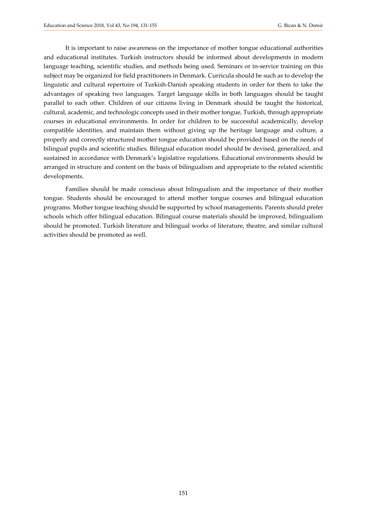It is important to raise awareness on the importance of mother tongue educational authorities and educational institutes. Turkish instructors should be informed about developments in modern language teaching, scientific studies, and methods being used. Seminars or in-service training on this subject may be organized for field practitioners in Denmark. Curricula should be such as to develop the linguistic and cultural repertoire of Turkish-Danish speaking students in order for them to take the advantages of speaking two languages. Target language skills in both languages should be taught parallel to each other. Children of our citizens living in Denmark should be taught the historical, cultural, academic, and technologic concepts used in their mother tongue, Turkish, through appropriate courses in educational environments. In order for children to be successful academically, develop compatible identities, and maintain them without giving up the heritage language and culture, a properly and correctly structured mother tongue education should be provided based on the needs of bilingual pupils and scientific studies. Bilingual education model should be devised, generalized, and sustained in accordance with Denmark's legislative regulations. Educational environments should be arranged in structure and content on the basis of bilingualism and appropriate to the related scientific developments.

Families should be made conscious about bilingualism and the importance of their mother tongue. Students should be encouraged to attend mother tongue courses and bilingual education programs. Mother tongue teaching should be supported by school managements. Parents should prefer schools which offer bilingual education. Bilingual course materials should be improved, bilingualism should be promoted. Turkish literature and bilingual works of literature, theatre, and similar cultural activities should be promoted as well.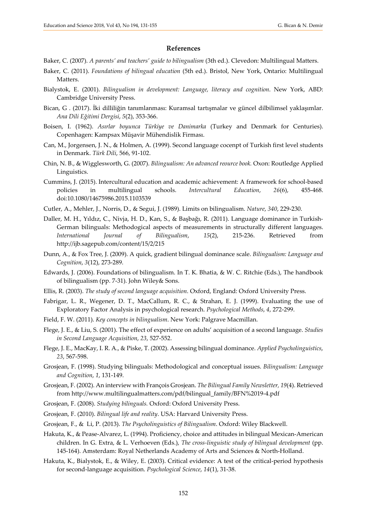#### **References**

- Baker, C. (2007). *A parents' and teachers' guide to bilingualism* (3th ed.). Clevedon: Multilingual Matters.
- Baker, C. (2011). *Foundations of bilingual education* (5th ed.). Bristol, New York, Ontario: Multilingual Matters.
- Bialystok, E. (2001). *Bilingualism in development: Language, literacy and cognition*. New York, ABD: Cambridge University Press.
- Bican, G . (2017). İki dilliliğin tanımlanması: Kuramsal tartışmalar ve güncel dilbilimsel yaklaşımlar. *Ana Dili Eğitimi Dergisi*, *5*(2), 353-366.
- Boisen, I. (1962). *Asırlar boyunca Türkiye ve Danimarka* (Turkey and Denmark for Centuries). Copenhagen: Kampsax Müşavir Mühendislik Firması.
- Can, M., Jorgensen, J. N., & Holmen, A. (1999). Second language cocenpt of Turkish first level students in Denmark. *Türk Dili*, 566, 91-102.
- Chin, N. B., & Wigglesworth, G. (2007). *Bilingualism: An advanced reource book.* Oxon: Routledge Applied Linguistics.
- Cummins, J. (2015). Intercultural education and academic achievement: A framework for school-based policies in multilingual schools. *Intercultural Education*, *26*(6), 455-468. doi:10.1080/14675986.2015.1103539
- Cutler, A., Mehler, J., Norris, D., & Segui, J. (1989). Limits on bilingualism. *Nature*, *340*, 229-230.
- Daller, M. H., Yıldız, C., Nivja, H. D., Kan, S., & Başbağı, R. (2011). Language dominance in Turkish-German bilinguals: Methodogical aspects of measurements in structurally different languages. *International Journal of Bilingualism*, *15*(2), 215-236. Retrieved from <http://ijb.sagepub.com/content/15/2/215>
- Dunn, A., & Fox Tree, J. (2009). A quick, gradient bilingual dominance scale. *Bilingualism: Language and Cognition*, *3*(12), 273-289.
- Edwards, J. (2006). Foundations of bilingualism. In T. K. Bhatia, & W. C. Ritchie (Eds.), The handbook of bilingualism (pp. 7-31). John Wiley& Sons.
- Ellis, R. (2003). *The study of second language acquisition*. Oxford, England: Oxford University Press.
- Fabrigar, L. R., Wegener, D. T., MacCallum, R. C., & Strahan, E. J. (1999). Evaluating the use of Exploratory Factor Analysis in psychological research. *Psychological Methods*, *4*, 272-299.
- Field, F. W. (2011). *Key concepts in bilingualism*. New York: Palgrave Macmillan.
- Flege, J. E., & Liu, S. (2001). The effect of experience on adults' acquisition of a second language. *Studies in Second Language Acquisition*, *23*, 527-552.
- Flege, J. E., MacKay, I. R. A., & Piske, T. (2002). Assessing bilingual dominance. *Applied Psycholinguistics*, *23*, 567-598.
- Grosjean, F. (1998). Studying bilinguals: Methodological and conceptual issues. *Bilingualism: Language and Cognition*, *1*, 131-149.
- Grosjean, F. (2002). An interview with François Grosjean. *The Bilingual Family Newsletter, 19*(4). Retrieved from http://www.multilingualmatters.com/pdf/bilingual\_family/BFN%2019-4.pdf
- Grosjean, F. (2008). *Studying bilinguals.* Oxford: Oxford University Press.
- Grosjean, F. (2010). *Bilingual life and reality*. USA: Harvard University Press.
- Grosjean, F., & Li, P. (2013). *The Psycholinguistics of Bilingualism*. Oxford: Wiley Blackwell.
- Hakuta, K., & Pease-Alvarez, L. (1994). Proficiency, choice and attitudes in bilingual Mexican-American children. In G. Extra, & L. Verhoeven (Eds.), *The cross-linguistic study of bilingual development* (pp. 145-164). Amsterdam: Royal Netherlands Academy of Arts and Sciences & North-Holland.
- Hakuta, K., Bialystok, E., & Wiley, E. (2003). Critical evidence: A test of the critical-period hypothesis for second-language acquisition. *Psychological Science*, *14*(1), 31-38.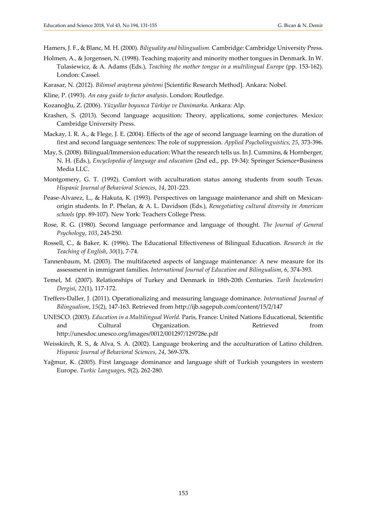Hamers, J. F., & Blanc, M. H. (2000). *Biliguality and bilingualism.* Cambridge: Cambridge University Press.

- Holmen, A., & Jorgensen, N. (1998). Teaching majority and minority mother tongues in Denmark. In W. Tulasiewicz, & A. Adams (Eds.), *Teaching the mother tongue in a multilingual Europe* (pp. 153-162). London: Cassel.
- Karasar, N. (2012). *Bilimsel araştırma yöntemi* [Scientific Research Method]. Ankara: Nobel.
- Kline, P. (1993). *An easy guide to factor analysis*. London: Routledge.
- Kozanoğlu, Z. (2006). *Yüzyıllar boyunca Türkiye ve Danimarka*. Ankara: Alp.
- Krashen, S. (2013). Second language acqusition: Theory, applications, some conjectures. Mexico: Cambridge University Press.
- Mackay, I. R. A., & Flege, J. E. (2004). Effects of the age of second language learning on the duration of first and second language sentences: The role of suppression. *Applied Psycholinguistics*, *25*, 373-396.
- May, S. (2008). Bilingual/Immersion education: What the research tells us. In J. Cummins, & Hornberger, N. H. (Eds.), *Encyclopedia of language and education* (2nd ed., pp. 19-34): Springer Science+Business Media LLC.
- Montgomery, G. T. (1992). Comfort with acculturation status among students from south Texas. *Hispanic Journal of Behavioral Sciences*, *14*, 201-223.
- Pease-Alvarez, L., & Hakuta, K. (1993). Perspectives on language maintenance and shift on Mexicanorigin students. In P. Phelan, & A. L. Davidson (Eds.), *Renegotiating cultural diversity in American schools* (pp. 89-107). New York: Teachers College Press.
- Rose, R. G. (1980). Second language performance and language of thought. *The Journal of General Psychology*, *103*, 245-250.
- Rossell, C., & Baker, K. (1996). The Educational Effectiveness of Bilingual Education. *Research in the Teaching of English*, *30*(1), 7-74.
- Tannenbaum, M. (2003). The multifaceted aspects of language maintenance: A new measure for its assessment in immigrant families. *International Journal of Education and Bilingualism*, 6, 374-393.
- Temel, M. (2007). Relationships of Turkey and Denmark in 18th-20th Centuries. *Tarih İncelemeleri Dergisi*, *22*(1), 117-172.
- Treffers-Daller, J. (2011). Operationalizing and measuring language dominance. *International Journal of Bilingualism*, *15*(2), 147-163. Retrieved from http://ijb.sagepub.com/content/15/2/147
- UNESCO. (2003). *Education in a Multilingual World.* Paris, France: United Nations Educational, Scientific and Cultural Organization. Retrieved from http://unesdoc.unesco.org/images/0012/001297/129728e.pdf
- Weisskirch, R. S., & Alva, S. A. (2002). Language brokering and the acculturation of Latino children. *Hispanic Journal of Behavioral Sciences*, *24*, 369-378.
- Yağmur, K. (2005). First language dominance and language shift of Turkish youngsters in western Europe. *Turkic Languages*, *9*(2), 262-280.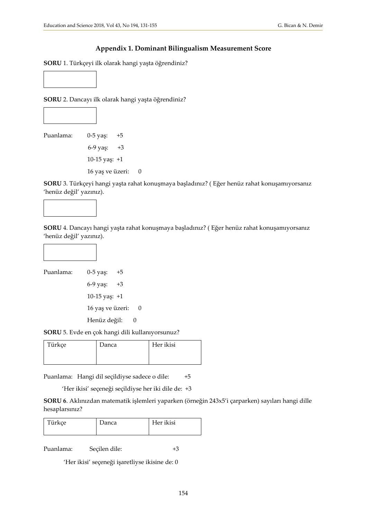# **Appendix 1. Dominant Bilingualism Measurement Score**

**SORU** 1. Türkçeyi ilk olarak hangi yaşta öğrendiniz?



**SORU** 2. Dancayı ilk olarak hangi yaşta öğrendiniz?



Puanlama: 0-5 yaş: +5 6-9 yaş: +3 10-15 yaş: +1 16 yaş ve üzeri: 0

**SORU** 3. Türkçeyi hangi yaşta rahat konuşmaya başladınız? ( Eğer henüz rahat konuşamıyorsanız 'henüz değil' yazınız).



**SORU** 4. Dancayı hangi yaşta rahat konuşmaya başladınız? ( Eğer henüz rahat konuşamıyorsanız 'henüz değil' yazınız).



Puanlama: 0-5 yaş: +5 6-9 yaş: +3 10-15 yaş: +1 16 yaş ve üzeri: 0 Henüz değil: 0

**SORU** 5. Evde en çok hangi dili kullanıyorsunuz?

| Türkçe | Danca | Her ikisi |
|--------|-------|-----------|
|        |       |           |

Puanlama: Hangi dil seçildiyse sadece o dile: +5

'Her ikisi' seçeneği seçildiyse her iki dile de: +3

**SORU 6**. Aklınızdan matematik işlemleri yaparken (örneğin 243x5'i çarparken) sayıları hangi dille hesaplarsınız?

| Türkçe | Danca | Her ikisi |
|--------|-------|-----------|
|--------|-------|-----------|

Puanlama: Seçilen dile: +3

'Her ikisi' seçeneği işaretliyse ikisine de: 0